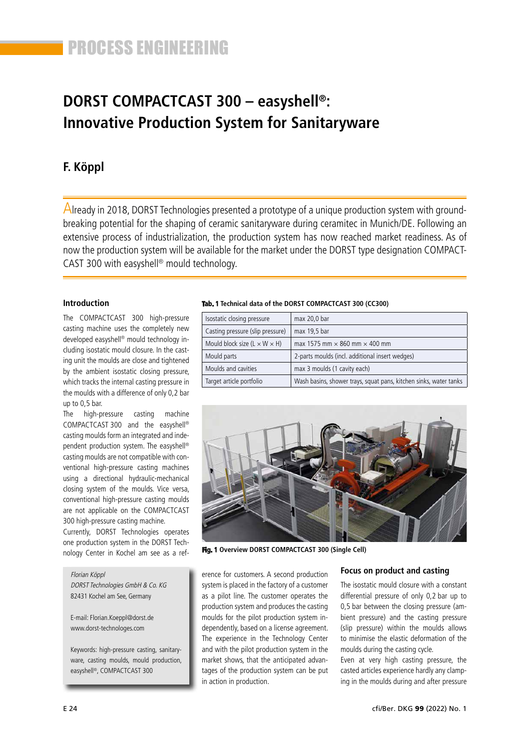# **DORST COMPACTCAST 300 – easyshell®: Innovative Production System for Sanitaryware**

# **F. Köppl**

Already in 2018, DORST Technologies presented a prototype of a unique production system with groundbreaking potential for the shaping of ceramic sanitaryware during ceramitec in Munich/DE. Following an extensive process of industrialization, the production system has now reached market readiness. As of now the production system will be available for the market under the DORST type designation COMPACT-CAST 300 with easyshell® mould technology.

## **Introduction**

The COMPACTCAST 300 high-pressure casting machine uses the completely new developed easyshell® mould technology including isostatic mould closure. In the casting unit the moulds are close and tightened by the ambient isostatic closing pressure, which tracks the internal casting pressure in the moulds with a difference of only 0,2 bar up to 0,5 bar.

The high-pressure casting machine COMPACTCAST 300 and the easyshell® casting moulds form an integrated and independent production system. The easyshell® casting moulds are not compatible with conventional high-pressure casting machines using a directional hydraulic-mechanical closing system of the moulds. Vice versa, conventional high-pressure casting moulds are not applicable on the COMPACTCAST 300 high-pressure casting machine.

Currently, DORST Technologies operates one production system in the DORST Technology Center in Kochel am see as a ref-

#### Florian Köppl

DORST Technologies GmbH & Co. KG 82431 Kochel am See, Germany

E-mail: Florian.Koeppl@dorst.de www.dorst-technologes.com

Keywords: high-pressure casting, sanitaryware, casting moulds, mould production, easyshell®, COMPACTCAST 300

#### **Tab. 1 Technical data of the DORST COMPACTCAST 300 (CC300)**

| Isostatic closing pressure               | max 20,0 bar                                                      |
|------------------------------------------|-------------------------------------------------------------------|
| Casting pressure (slip pressure)         | max 19,5 bar                                                      |
| Mould block size $(L \times W \times H)$ | max 1575 mm $\times$ 860 mm $\times$ 400 mm                       |
| Mould parts                              | 2-parts moulds (incl. additional insert wedges)                   |
| Moulds and cavities                      | max 3 moulds (1 cavity each)                                      |
| Target article portfolio                 | Wash basins, shower trays, squat pans, kitchen sinks, water tanks |



**Fig. 1 Overview DORST COMPACTCAST 300 (Single Cell)**

erence for customers. A second production system is placed in the factory of a customer as a pilot line. The customer operates the production system and produces the casting moulds for the pilot production system independently, based on a license agreement. The experience in the Technology Center and with the pilot production system in the market shows, that the anticipated advantages of the production system can be put in action in production.

### **Focus on product and casting**

The isostatic mould closure with a constant differential pressure of only 0,2 bar up to 0,5 bar between the closing pressure (ambient pressure) and the casting pressure (slip pressure) within the moulds allows to minimise the elastic deformation of the moulds during the casting cycle.

Even at very high casting pressure, the casted articles experience hardly any clamping in the moulds during and after pressure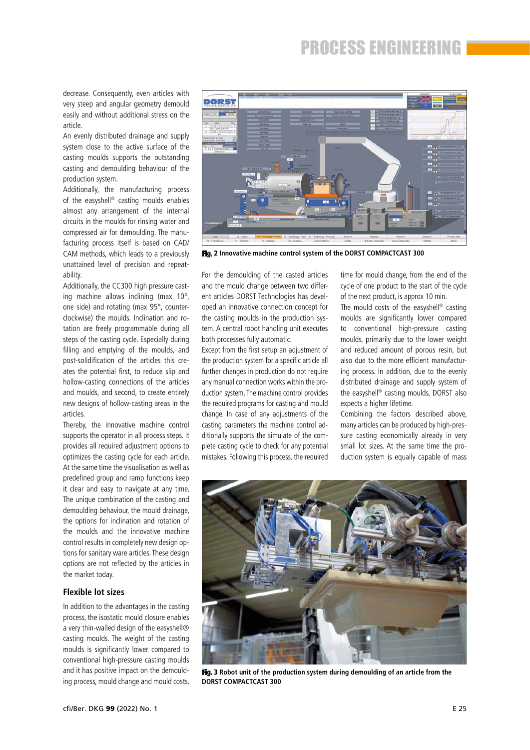decrease. Consequently, even articles with very steep and angular geometry demould easily and without additional stress on the article.

An evenly distributed drainage and supply system close to the active surface of the casting moulds supports the outstanding casting and demoulding behaviour of the production system.

Additionally, the manufacturing process of the easyshell® casting moulds enables almost any arrangement of the internal circuits in the moulds for rinsing water and compressed air for demoulding. The manufacturing process itself is based on CAD/ CAM methods, which leads to a previously unattained level of precision and repeatability.

Additionally, the CC300 high pressure casting machine allows inclining (max 10°, one side) and rotating (max 95°, counterclockwise) the moulds. Inclination and rotation are freely programmable during all steps of the casting cycle. Especially during filling and emptying of the moulds, and post-solidification of the articles this creates the potential first, to reduce slip and hollow-casting connections of the articles and moulds, and second, to create entirely new designs of hollow-casting areas in the articles.

Thereby, the innovative machine control supports the operator in all process steps. It provides all required adjustment options to optimizes the casting cycle for each article. At the same time the visualisation as well as predefined group and ramp functions keep it clear and easy to navigate at any time. The unique combination of the casting and demoulding behaviour, the mould drainage, the options for inclination and rotation of the moulds and the innovative machine control results in completely new design options for sanitary ware articles. These design options are not reflected by the articles in the market today.

### **Flexible lot sizes**

In addition to the advantages in the casting process, the isostatic mould closure enables a very thin-walled design of the easyshell® casting moulds. The weight of the casting moulds is significantly lower compared to conventional high-pressure casting moulds and it has positive impact on the demoulding process, mould change and mould costs.



**Fig. 2 Innovative machine control system of the DORST COMPACTCAST 300**

For the demoulding of the casted articles and the mould change between two different articles DORST Technologies has developed an innovative connection concept for the casting moulds in the production system. A central robot handling unit executes both processes fully automatic.

Except from the first setup an adjustment of the production system for a specific article all further changes in production do not require any manual connection works within the production system. The machine control provides the required programs for casting and mould change. In case of any adjustments of the casting parameters the machine control additionally supports the simulate of the complete casting cycle to check for any potential mistakes. Following this process, the required

time for mould change, from the end of the cycle of one product to the start of the cycle of the next product, is approx 10 min.

The mould costs of the easyshell® casting moulds are significantly lower compared to conventional high-pressure casting moulds, primarily due to the lower weight and reduced amount of porous resin, but also due to the more efficient manufacturing process. In addition, due to the evenly distributed drainage and supply system of the easyshell® casting moulds, DORST also expects a higher lifetime.

Combining the factors described above, many articles can be produced by high-pressure casting economically already in very small lot sizes. At the same time the production system is equally capable of mass



**Fig. 3 Robot unit of the production system during demoulding of an article from the DORST COMPACTCAST 300**